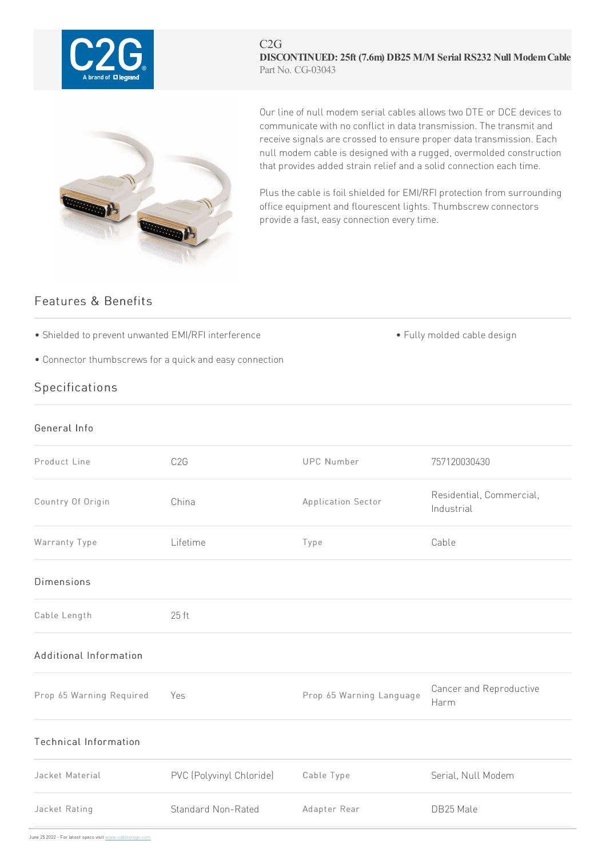

#### C2G **DISCONTINUED: 25ft (7.6m) DB25 M/M Serial RS232 Null ModemCable** Part No. CG-03043



Our line of null modem serial cables allows two DTE or DCE devices to communicate with no conflict in data transmission. The transmit and receive signals are crossed to ensure proper data transmission. Each null modem cable is designed with a rugged, overmolded construction that provides added strain relief and a solid connection each time.

Plus the cable is foil shielded for EMI/RFI protection from surrounding office equipment and flourescent lights. Thumbscrew connectors provide a fast, easy connection every time.

## Features & Benefits

- Shielded to prevent unwanted EMI/RFI interference The state of Fully molded cable design
- Connector thumbscrews for aquickand easy connection

# Specifications

#### General Info

| C <sub>2</sub> G         | <b>UPC Number</b>        | 757120030430                           |
|--------------------------|--------------------------|----------------------------------------|
| China                    | Application Sector       | Residential, Commercial,<br>Industrial |
| Lifetime                 | Type                     | Cable                                  |
|                          |                          |                                        |
| 25 ft                    |                          |                                        |
|                          |                          |                                        |
| Yes                      | Prop 65 Warning Language | Cancer and Reproductive<br>Harm        |
|                          |                          |                                        |
| PVC (Polyvinyl Chloride) | Cable Type               | Serial, Null Modem                     |
| Standard Non-Rated       | Adapter Rear             | DB25 Male                              |
|                          |                          |                                        |